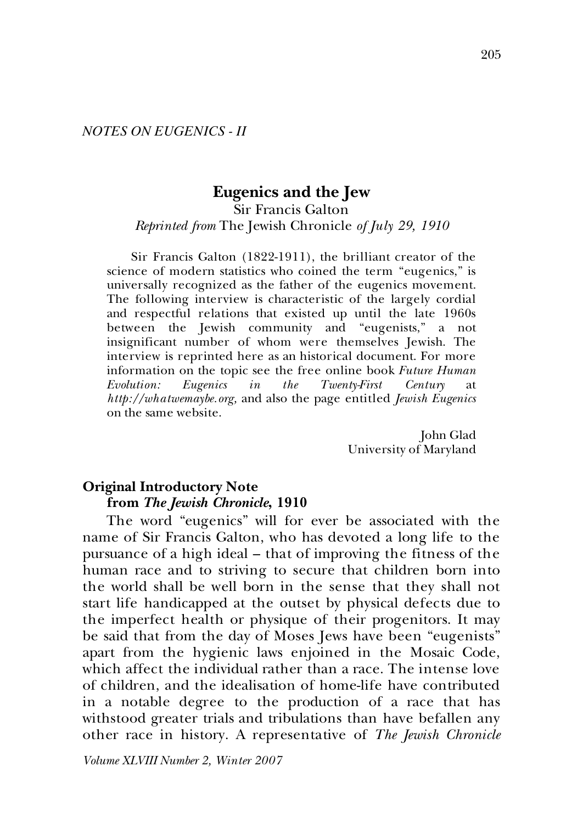# **Eugenics and the Jew**

#### Sir Francis Galton *Reprinted from* The Jewish Chronicle *of July 29, 1910*

Sir Francis Galton (1822-1911), the brilliant creator of the science of modern statistics who coined the term "eugenics," is universally recognized as the father of the eugenics movement. The following interview is characteristic of the largely cordial and respectful relations that existed up until the late 1960s between the Jewish community and "eugenists," a not insignificant number of whom were themselves Jewish. The interview is reprinted here as an historical document. For more information on the topic see the free online book *Future Human Evolution: Eugenics* in the Twenty-First Century *http://whatwemaybe.org,* and also the page entitled *Jewish Eugenics*  on the same website.

> John Glad University of Maryland

#### **Original Introductory Note from** *The Jewish Chronicle***, 1910**

The word "eugenics" will for ever be associated with the name of Sir Francis Galton, who has devoted a long life to the pursuance of a high ideal – that of improving the fitness of the human race and to striving to secure that children born into the world shall be well born in the sense that they shall not start life handicapped at the outset by physical defects due to the imperfect health or physique of their progenitors. It may be said that from the day of Moses Jews have been "eugenists" apart from the hygienic laws enjoined in the Mosaic Code, which affect the individual rather than a race. The intense love of children, and the idealisation of home-life have contributed in a notable degree to the production of a race that has withstood greater trials and tribulations than have befallen any other race in history. A representative of *The Jewish Chronicle*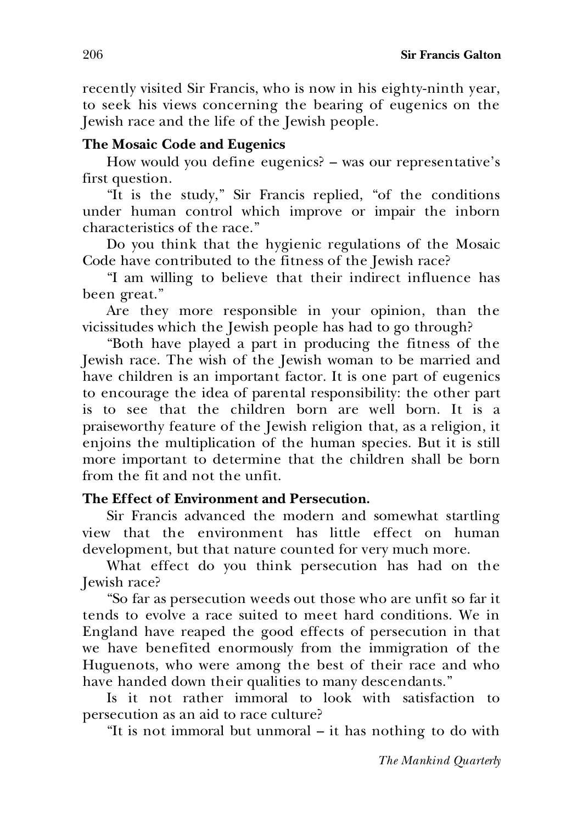recently visited Sir Francis, who is now in his eighty-ninth year, to seek his views concerning the bearing of eugenics on the Jewish race and the life of the Jewish people.

## **The Mosaic Code and Eugenics**

How would you define eugenics? – was our representative's first question.

"It is the study," Sir Francis replied, "of the conditions under human control which improve or impair the inborn characteristics of the race."

Do you think that the hygienic regulations of the Mosaic Code have contributed to the fitness of the Jewish race?

"I am willing to believe that their indirect influence has been great."

Are they more responsible in your opinion, than the vicissitudes which the Jewish people has had to go through?

"Both have played a part in producing the fitness of the Jewish race. The wish of the Jewish woman to be married and have children is an important factor. It is one part of eugenics to encourage the idea of parental responsibility: the other part is to see that the children born are well born. It is a praiseworthy feature of the Jewish religion that, as a religion, it enjoins the multiplication of the human species. But it is still more important to determine that the children shall be born from the fit and not the unfit.

## **The Effect of Environment and Persecution***.*

Sir Francis advanced the modern and somewhat startling view that the environment has little effect on human development, but that nature counted for very much more.

What effect do you think persecution has had on the Jewish race?

"So far as persecution weeds out those who are unfit so far it tends to evolve a race suited to meet hard conditions. We in England have reaped the good effects of persecution in that we have benefited enormously from the immigration of the Huguenots, who were among the best of their race and who have handed down their qualities to many descendants."

Is it not rather immoral to look with satisfaction to persecution as an aid to race culture?

"It is not immoral but unmoral – it has nothing to do with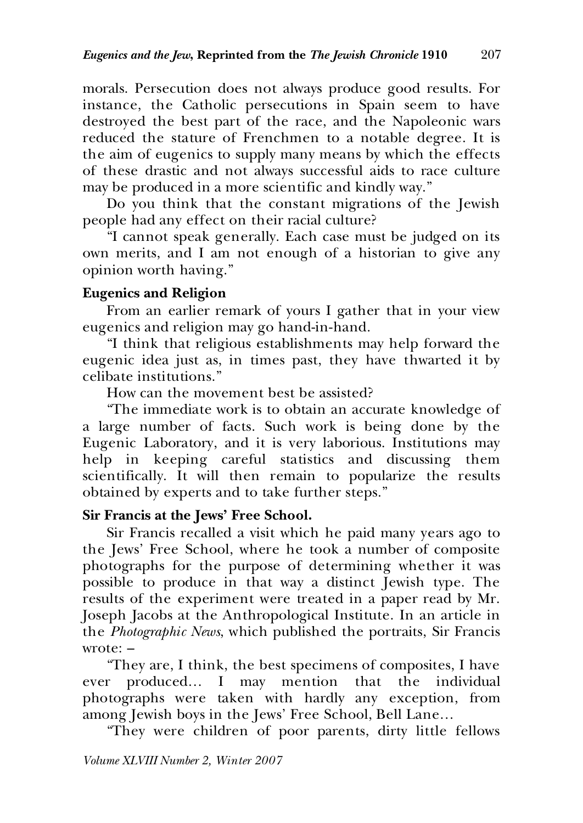morals. Persecution does not always produce good results. For instance, the Catholic persecutions in Spain seem to have destroyed the best part of the race, and the Napoleonic wars reduced the stature of Frenchmen to a notable degree. It is the aim of eugenics to supply many means by which the effects of these drastic and not always successful aids to race culture may be produced in a more scientific and kindly way."

Do you think that the constant migrations of the Jewish people had any effect on their racial culture?

"I cannot speak generally. Each case must be judged on its own merits, and I am not enough of a historian to give any opinion worth having."

## **Eugenics and Religion**

From an earlier remark of yours I gather that in your view eugenics and religion may go hand-in-hand.

"I think that religious establishments may help forward the eugenic idea just as, in times past, they have thwarted it by celibate institutions."

How can the movement best be assisted?

"The immediate work is to obtain an accurate knowledge of a large number of facts. Such work is being done by the Eugenic Laboratory, and it is very laborious. Institutions may help in keeping careful statistics and discussing them scientifically. It will then remain to popularize the results obtained by experts and to take further steps."

## **Sir Francis at the Jews' Free School.**

Sir Francis recalled a visit which he paid many years ago to the Jews' Free School, where he took a number of composite photographs for the purpose of determining whether it was possible to produce in that way a distinct Jewish type. The results of the experiment were treated in a paper read by Mr. Joseph Jacobs at the Anthropological Institute. In an article in the *Photographic News*, which published the portraits, Sir Francis wrote: –

"They are, I think, the best specimens of composites, I have ever produced… I may mention that the individual photographs were taken with hardly any exception, from among Jewish boys in the Jews' Free School, Bell Lane…

"They were children of poor parents, dirty little fellows